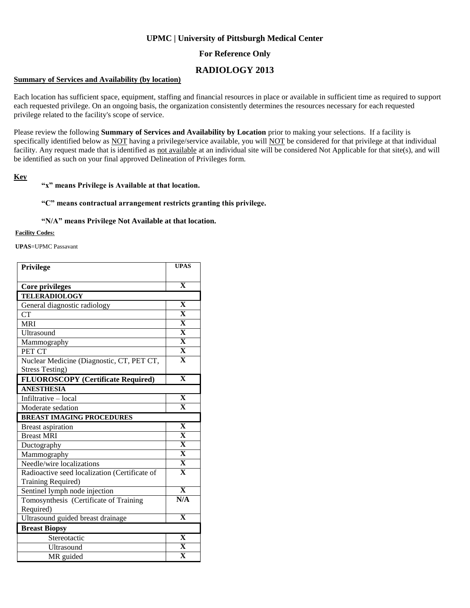# **UPMC | University of Pittsburgh Medical Center**

## **For Reference Only**

# **RADIOLOGY 2013**

### **Summary of Services and Availability (by location)**

Each location has sufficient space, equipment, staffing and financial resources in place or available in sufficient time as required to support each requested privilege. On an ongoing basis, the organization consistently determines the resources necessary for each requested privilege related to the facility's scope of service.

Please review the following **Summary of Services and Availability by Location** prior to making your selections. If a facility is specifically identified below as NOT having a privilege/service available, you will NOT be considered for that privilege at that individual facility. Any request made that is identified as not available at an individual site will be considered Not Applicable for that site(s), and will be identified as such on your final approved Delineation of Privileges form.

### **Key**

### **"x" means Privilege is Available at that location.**

#### **"C" means contractual arrangement restricts granting this privilege.**

#### **"N/A" means Privilege Not Available at that location.**

#### **Facility Codes:**

**UPAS**=UPMC Passavant

| Privilege                                     | <b>UPAS</b>             |
|-----------------------------------------------|-------------------------|
|                                               |                         |
| Core privileges                               | $\overline{\mathbf{X}}$ |
| <b>TELERADIOLOGY</b>                          |                         |
| General diagnostic radiology                  | $\mathbf X$             |
| <b>CT</b>                                     | $\overline{\mathbf{X}}$ |
| <b>MRI</b>                                    | $\overline{\mathbf{X}}$ |
| Ultrasound                                    | $\overline{\mathbf{X}}$ |
| Mammography                                   | $\overline{\mathbf{X}}$ |
| PET CT                                        | $\overline{\mathbf{X}}$ |
| Nuclear Medicine (Diagnostic, CT, PET CT,     | $\overline{\mathbf{X}}$ |
| <b>Stress Testing)</b>                        |                         |
| <b>FLUOROSCOPY</b> (Certificate Required)     | $\mathbf X$             |
| <b>ANESTHESIA</b>                             |                         |
| Infiltrative - local                          | $\mathbf X$             |
| Moderate sedation                             | $\mathbf X$             |
| <b>BREAST IMAGING PROCEDURES</b>              |                         |
| <b>Breast aspiration</b>                      | $\overline{\mathbf{X}}$ |
| <b>Breast MRI</b>                             | $\overline{\mathbf{X}}$ |
| Ductography                                   | $\overline{\mathbf{X}}$ |
| Mammography                                   | $\overline{\mathbf{X}}$ |
| Needle/wire localizations                     | $\overline{\mathbf{X}}$ |
| Radioactive seed localization (Certificate of | $\overline{\mathbf{X}}$ |
| Training Required)                            |                         |
| Sentinel lymph node injection                 | $\overline{\mathbf{x}}$ |
| Tomosynthesis (Certificate of Training        | N/A                     |
| Required)                                     |                         |
| Ultrasound guided breast drainage             | $\overline{\mathbf{X}}$ |
| <b>Breast Biopsy</b>                          |                         |
| Stereotactic                                  | $\overline{\mathbf{X}}$ |
| Ultrasound                                    | $\mathbf X$             |
| MR guided                                     | $\overline{\textbf{X}}$ |